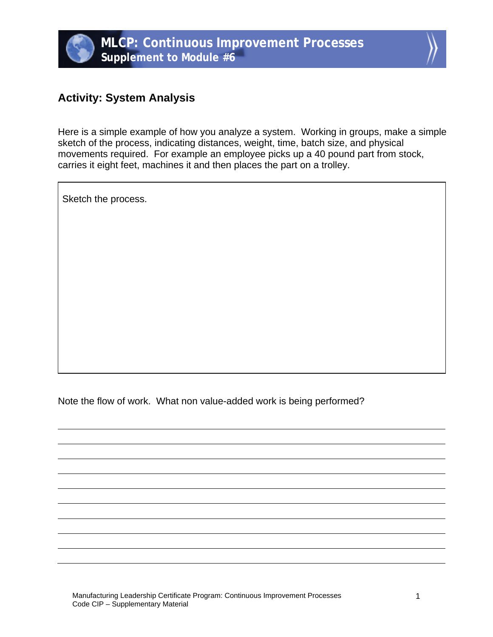



## **Activity: System Analysis**

Here is a simple example of how you analyze a system. Working in groups, make a simple sketch of the process, indicating distances, weight, time, batch size, and physical movements required. For example an employee picks up a 40 pound part from stock, carries it eight feet, machines it and then places the part on a trolley.

Sketch the process.

Note the flow of work. What non value-added work is being performed?